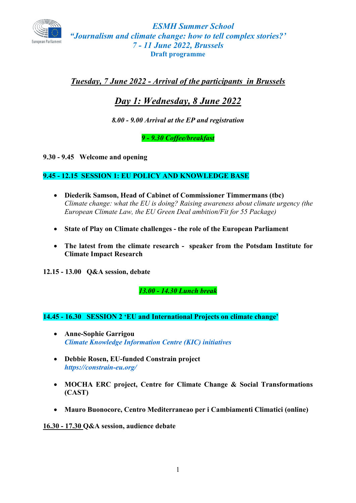

### *Tuesday, 7 June 2022 - Arrival of the participants in Brussels*

# *Day 1: Wednesday, 8 June 2022*

*8.00 - 9.00 Arrival at the EP and registration*

*9 - 9.30 Coffee/breakfast*

**9.30 - 9.45 Welcome and opening**

#### **9.45 - 12.15 SESSION 1: EU POLICY AND KNOWLEDGE BASE**

- **Diederik Samson, Head of Cabinet of Commissioner Timmermans (tbc)** *Climate change: what the EU is doing? Raising awareness about climate urgency (the European Climate Law, the EU Green Deal ambition/Fit for 55 Package)*
- **State of Play on Climate challenges - the role of the European Parliament**
- **The latest from the climate research speaker from the Potsdam Institute for Climate Impact Research**

**12.15 - 13.00 Q&A session, debate**

*13.00 - 14.30 Lunch break*

**14.45 - 16.30 SESSION 2 'EU and International Projects on climate change'**

- **Anne-Sophie Garrigou** *[Climate Knowledge Information Centre \(KIC\)](https://www.climate-kic.org/news/netzerocities-the-new-project-leading-european-cities-transition-to-net-zero-emissions-by-2030/) initiatives*
- **Debbie Rosen, EU-funded Constrain project** *<https://constrain-eu.org/>*
- **MOCHA ERC project, Centre for Climate Change & Social Transformations (CAST)**
- **Mauro Buonocore, Centro Mediterraneao per i Cambiamenti Climatici (online)**

**16.30 - 17.30 Q&A session, audience debate**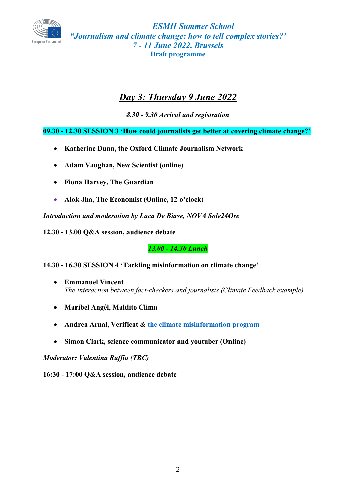

# *Day 3: Thursday 9 June 2022*

*8.30 - 9.30 Arrival and registration*

**09.30 - 12.30 SESSION 3 'How could journalists get better at covering climate change?'**

- **Katherine Dunn, the Oxford Climate Journalism Network**
- **Adam Vaughan, New Scientist (online)**
- **Fiona Harvey, The Guardian**
- **Alok Jha, The Economist (Online, 12 o'clock)**

*Introduction and moderation by Luca De Biase, NOVA Sole24Ore*

**12.30 - 13.00 Q&A session, audience debate**

*13.00 - 14.30 Lunch*

#### **14.30 - 16.30 SESSION 4 'Tackling misinformation on climate change'**

- **[Emmanuel Vincent](http://emmanuel.vincent.earth/)** *The interaction between fact-checkers and journalists (Climate Feedback example)*
- **Maribel Angél, Maldito Clima**
- **Andrea Arnal, Verificat & [the climate misinformation program](https://www.poynter.org/from-the-institute/2022/meet-the-recipients-of-the-climate-misinformation-grant-program/)**
- **Simon Clark, science communicator and youtuber (Online)**

*Moderator: Valentina Raffio (TBC)*

**16:30 - 17:00 Q&A session, audience debate**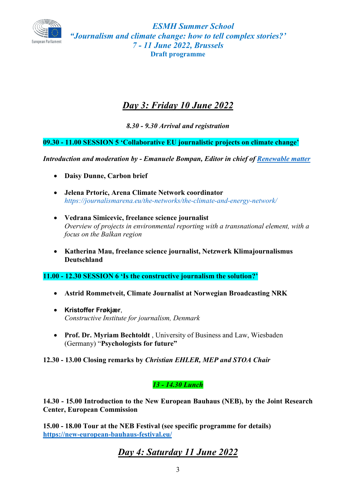

# *Day 3: Friday 10 June 2022*

*8.30 - 9.30 Arrival and registration*

**09.30 - 11.00 SESSION 5 'Collaborative EU journalistic projects on climate change'**

*Introduction and moderation by - Emanuele Bompan, Editor in chief of [Renewable matter](https://www.renewablematter.eu/home-en-us/)*

- **Daisy Dunne, Carbon brief**
- **Jelena Prtoric, Arena Climate Network coordinator** *<https://journalismarena.eu/the-networks/the-climate-and-energy-network/>*
- **Vedrana Simicevic, freelance science journalist** *Overview of projects in environmental reporting with a transnational element, with a focus on the Balkan region*
- **Katherina Mau, freelance science journalist, Netzwerk Klimajournalismus Deutschland**

**11.00 - 12.30 SESSION 6 'Is the constructive journalism the solution?'**

- **Astrid Rommetveit, Climate Journalist at Norwegian Broadcasting NRK**
- **Kristoffer Frøkjær**, *Constructive Institute [for journalism, Denmark](https://constructiveinstitute.org/)*
- **Prof. Dr. Myriam Bechtoldt** , University of Business and Law, Wiesbaden (Germany) "**[Psychologists for future"](https://www.psychologistsforfuture.org/)**

**12.30 - 13.00 Closing remarks by** *Christian EHLER, MEP and STOA Chair*

### *13 - 14.30 Lunch*

**14.30 - 15.00 Introduction to the New European Bauhaus (NEB), by the Joint Research Center, European Commission**

**15.00 - 18.00 Tour at the NEB Festival (see specific programme for details) <https://new-european-bauhaus-festival.eu/>**

## *Day 4: Saturday 11 June 2022*